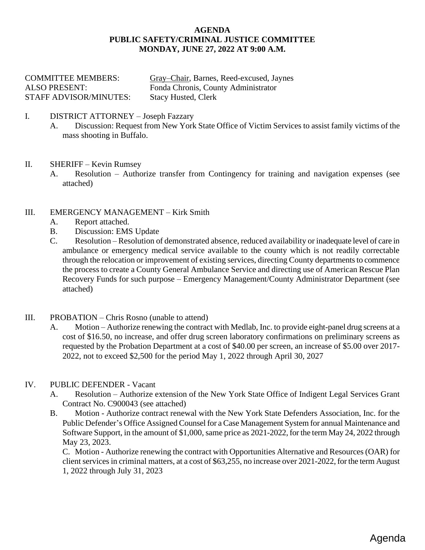#### **AGENDA PUBLIC SAFETY/CRIMINAL JUSTICE COMMITTEE MONDAY, JUNE 27, 2022 AT 9:00 A.M.**

| <b>COMMITTEE MEMBERS:</b>     | Gray–Chair, Barnes, Reed-excused, Jaynes |
|-------------------------------|------------------------------------------|
| ALSO PRESENT:                 | Fonda Chronis, County Administrator      |
| <b>STAFF ADVISOR/MINUTES:</b> | <b>Stacy Husted, Clerk</b>               |

- I. DISTRICT ATTORNEY Joseph Fazzary
	- A. Discussion: Request from New York State Office of Victim Services to assist family victims of the mass shooting in Buffalo.
- II. SHERIFF Kevin Rumsey
	- A. Resolution [Authorize transfer from Contingency for training and navigation expenses \(see](#page-1-0) attached)
- III. EMERGENCY MANAGEMENT Kirk Smith
	- A. [Report attached.](#page-2-0)
	- B. Discussion: EMS Update
	- C. Resolution Resolution of demonstrated absence, reduced availability or inadequate level of care in [ambulance or emergency medical service available to the county which is not readily correctable](#page-3-0)  through the relocation or improvement of existing services, directing County departments to commence the process to create a County General Ambulance Service and directing use of American Rescue Plan Recovery Funds for such purpose – Emergency Management/County Administrator Department (see attached)
- III. PROBATION Chris Rosno (unable to attend)
	- A. Motion Authorize renewing the contract with Medlab, Inc. to provide eight-panel drug screens at a [cost of \\$16.50, no increase, and offer drug screen laboratory confirmations on preliminary screens as](#page-5-0)  requested by the Probation Department at a cost of \$40.00 per screen, an increase of \$5.00 over 2017- 2022, not to exceed \$2,500 for the period May 1, 2022 through April 30, 2027
- IV. PUBLIC DEFENDER Vacant
	- A. Resolution Authorize extension of the New York State Office of Indigent Legal Services Grant Contract No. C900043 (see attached)
	- B. Motion Authorize contract renewal with the New York State Defenders Association, Inc. for the Public Defender's Office Assigned Counsel for a Case Management System for annual Maintenance and Software Support, in the amount of \$1,000, same price as 2021-2022, for the term May 24, 2022 through May 23, 2023.

C. Motion - Authorize renewing the contract with Opportunities Alternative and Resources (OAR) for client services in criminal matters, at a cost of \$63,255, no increase over 2021-2022, for the term August 1, 2022 through July 31, 2023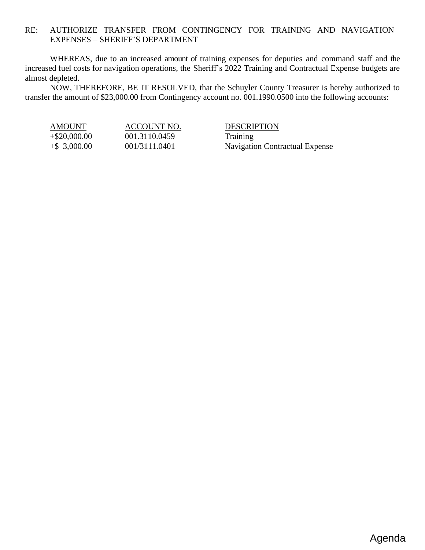### <span id="page-1-0"></span>RE: AUTHORIZE TRANSFER FROM CONTINGENCY FOR TRAINING AND NAVIGATION EXPENSES – SHERIFF'S DEPARTMENT

WHEREAS, due to an increased amount of training expenses for deputies and command staff and the increased fuel costs for navigation operations, the Sheriff's 2022 Training and Contractual Expense budgets are almost depleted.

NOW, THEREFORE, BE IT RESOLVED, that the Schuyler County Treasurer is hereby authorized to transfer the amount of \$23,000.00 from Contingency account no. 001.1990.0500 into the following accounts:

+\$20,000.00 001.3110.0459 Training

AMOUNT ACCOUNT NO. DESCRIPTION +\$ 3,000.00 001/3111.0401 Navigation Contractual Expense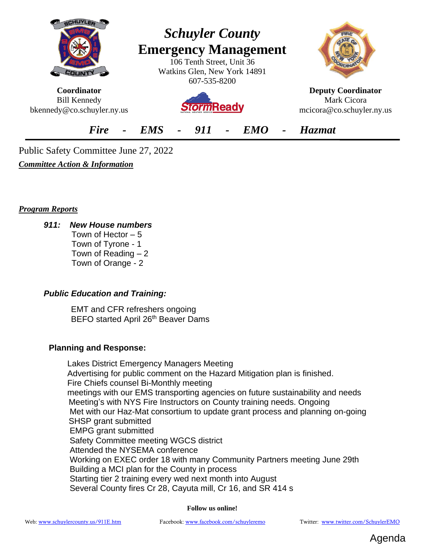<span id="page-2-0"></span>

**Coordinator** Bill Kennedy bkennedy@co.schuyler.ny.us

# *Schuyler County* **Emergency Management**

106 Tenth Street, Unit 36 Watkins Glen, New York 14891 607-535-8200

**orm**Ready



**Deputy Coordinator** Mark Cicora mcicora@co.schuyler.ny.us

*Fire - EMS - 911 - EMO - Hazmat*

Public Safety Committee June 27, 2022

*Committee Action & Information*

*Program Reports*

*911: New House numbers* 

 Town of Hector – 5 Town of Tyrone - 1 Town of Reading  $-2$ Town of Orange - 2

# *Public Education and Training:*

EMT and CFR refreshers ongoing BEFO started April 26<sup>th</sup> Beaver Dams

# **Planning and Response:**

 Lakes District Emergency Managers Meeting Advertising for public comment on the Hazard Mitigation plan is finished. Fire Chiefs counsel Bi-Monthly meeting meetings with our EMS transporting agencies on future sustainability and needs Meeting's with NYS Fire Instructors on County training needs. Ongoing Met with our Haz-Mat consortium to update grant process and planning on-going SHSP grant submitted EMPG grant submitted Safety Committee meeting WGCS district Attended the NYSEMA conference Working on EXEC order 18 with many Community Partners meeting June 29th Building a MCI plan for the County in process Starting tier 2 training every wed next month into August Several County fires Cr 28, Cayuta mill, Cr 16, and SR 414 s

**Follow us online!**

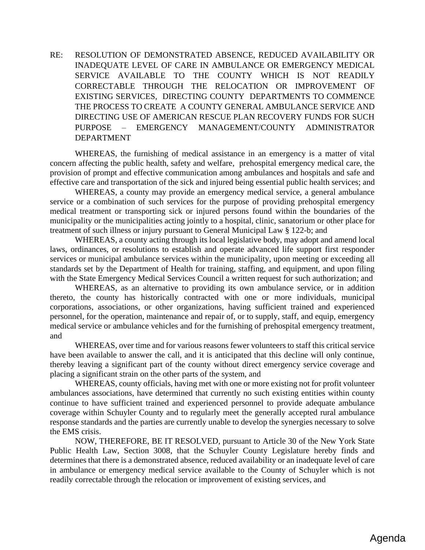<span id="page-3-0"></span>RE: RESOLUTION OF DEMONSTRATED ABSENCE, REDUCED AVAILABILITY OR INADEQUATE LEVEL OF CARE IN AMBULANCE OR EMERGENCY MEDICAL SERVICE AVAILABLE TO THE COUNTY WHICH IS NOT READILY CORRECTABLE THROUGH THE RELOCATION OR IMPROVEMENT OF EXISTING SERVICES, DIRECTING COUNTY DEPARTMENTS TO COMMENCE THE PROCESS TO CREATE A COUNTY GENERAL AMBULANCE SERVICE AND DIRECTING USE OF AMERICAN RESCUE PLAN RECOVERY FUNDS FOR SUCH PURPOSE – EMERGENCY MANAGEMENT/COUNTY ADMINISTRATOR DEPARTMENT

WHEREAS, the furnishing of medical assistance in an emergency is a matter of vital concern affecting the public health, safety and welfare, prehospital emergency medical care, the provision of prompt and effective communication among ambulances and hospitals and safe and effective care and transportation of the sick and injured being essential public health services; and

WHEREAS, a county may provide an emergency medical service, a general ambulance service or a combination of such services for the purpose of providing prehospital emergency medical treatment or transporting sick or injured persons found within the boundaries of the municipality or the municipalities acting jointly to a hospital, clinic, sanatorium or other place for treatment of such illness or injury pursuant to General Municipal Law § 122-b; and

WHEREAS, a county acting through its local legislative body, may adopt and amend local laws, ordinances, or resolutions to establish and operate advanced life support first responder services or municipal ambulance services within the municipality, upon meeting or exceeding all standards set by the Department of Health for training, staffing, and equipment, and upon filing with the State Emergency Medical Services Council a written request for such authorization; and

WHEREAS, as an alternative to providing its own ambulance service, or in addition thereto, the county has historically contracted with one or more individuals, municipal corporations, associations, or other organizations, having sufficient trained and experienced personnel, for the operation, maintenance and repair of, or to supply, staff, and equip, emergency medical service or ambulance vehicles and for the furnishing of prehospital emergency treatment, and

WHEREAS, over time and for various reasons fewer volunteers to staff this critical service have been available to answer the call, and it is anticipated that this decline will only continue, thereby leaving a significant part of the county without direct emergency service coverage and placing a significant strain on the other parts of the system, and

WHEREAS, county officials, having met with one or more existing not for profit volunteer ambulances associations, have determined that currently no such existing entities within county continue to have sufficient trained and experienced personnel to provide adequate ambulance coverage within Schuyler County and to regularly meet the generally accepted rural ambulance response standards and the parties are currently unable to develop the synergies necessary to solve the EMS crisis.

NOW, THEREFORE, BE IT RESOLVED, pursuant to Article 30 of the New York State Public Health Law, Section 3008, that the Schuyler County Legislature hereby finds and determines that there is a demonstrated absence, reduced availability or an inadequate level of care in ambulance or emergency medical service available to the County of Schuyler which is not readily correctable through the relocation or improvement of existing services, and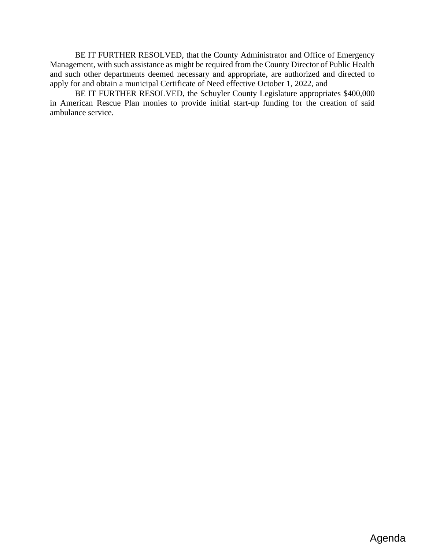BE IT FURTHER RESOLVED, that the County Administrator and Office of Emergency Management, with such assistance as might be required from the County Director of Public Health and such other departments deemed necessary and appropriate, are authorized and directed to apply for and obtain a municipal Certificate of Need effective October 1, 2022, and

BE IT FURTHER RESOLVED, the Schuyler County Legislature appropriates \$400,000 in American Rescue Plan monies to provide initial start-up funding for the creation of said ambulance service.